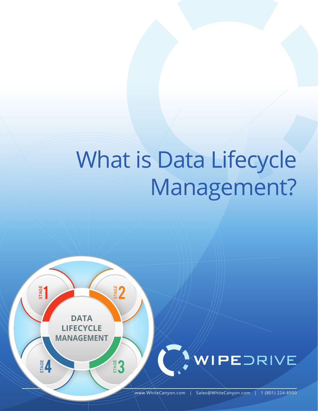# What is Data Lifecycle Management?

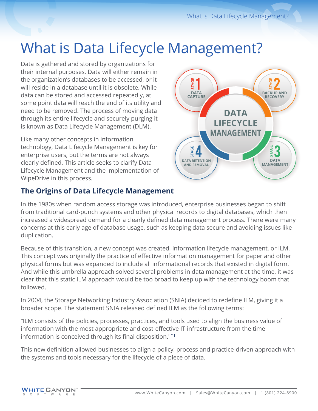# What is Data Lifecycle Management?

Data is gathered and stored by organizations for their internal purposes. Data will either remain in the organization's databases to be accessed, or it will reside in a database until it is obsolete. While data can be stored and accessed repeatedly, at some point data will reach the end of its utility and need to be removed. The process of moving data through its entire lifecycle and securely purging it is known as Data Lifecycle Management (DLM).

Like many other concepts in information technology, Data Lifecycle Management is key for enterprise users, but the terms are not always clearly defined. This article seeks to clarify Data Lifecycle Management and the implementation of WipeDrive in this process.



# **The Origins of Data Lifecycle Management**

In the 1980s when random access storage was introduced, enterprise businesses began to shift from traditional card-punch systems and other physical records to digital databases, which then increased a widespread demand for a clearly defined data management process. There were many concerns at this early age of database usage, such as keeping data secure and avoiding issues like duplication.

Because of this transition, a new concept was created, information lifecycle management, or ILM. This concept was originally the practice of effective information management for paper and other physical forms but was expanded to include all informational records that existed in digital form. And while this umbrella approach solved several problems in data management at the time, it was clear that this static ILM approach would be too broad to keep up with the technology boom that followed.

In 2004, the Storage Networking Industry Association (SNIA) decided to redefine ILM, giving it a broader scope. The statement SNIA released defined ILM as the following terms:

"ILM consists of the policies, processes, practices, and tools used to align the business value of information with the most appropriate and cost-effective IT infrastructure from the time information is conceived through its final disposition."**[1]**

This new definition allowed businesses to align a policy, process and practice-driven approach with the systems and tools necessary for the lifecycle of a piece of data.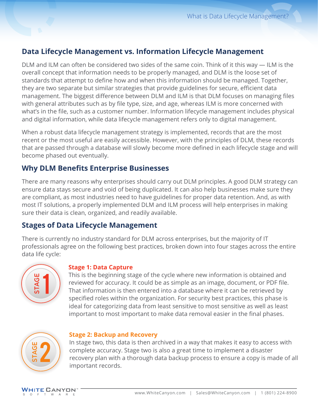# **Data Lifecycle Management vs. Information Lifecycle Management**

DLM and ILM can often be considered two sides of the same coin. Think of it this way — ILM is the overall concept that information needs to be properly managed, and DLM is the loose set of standards that attempt to define how and when this information should be managed. Together, they are two separate but similar strategies that provide guidelines for secure, efficient data management. The biggest difference between DLM and ILM is that DLM focuses on managing files with general attributes such as by file type, size, and age, whereas ILM is more concerned with what's in the file, such as a customer number. Information lifecycle management includes physical and digital information, while data lifecycle management refers only to digital management.

When a robust data lifecycle management strategy is implemented, records that are the most recent or the most useful are easily accessible. However, with the principles of DLM, these records that are passed through a database will slowly become more defined in each lifecycle stage and will become phased out eventually.

# **Why DLM Benefits Enterprise Businesses**

There are many reasons why enterprises should carry out DLM principles. A good DLM strategy can ensure data stays secure and void of being duplicated. It can also help businesses make sure they are compliant, as most industries need to have guidelines for proper data retention. And, as with most IT solutions, a properly implemented DLM and ILM process will help enterprises in making sure their data is clean, organized, and readily available.

# **Stages of Data Lifecycle Management**

There is currently no industry standard for DLM across enterprises, but the majority of IT professionals agree on the following best practices, broken down into four stages across the entire data life cycle:



#### **Stage 1: Data Capture**

This is the beginning stage of the cycle where new information is obtained and reviewed for accuracy. It could be as simple as an image, document, or PDF file. That information is then entered into a database where it can be retrieved by specified roles within the organization. For security best practices, this phase is ideal for categorizing data from least sensitive to most sensitive as well as least important to most important to make data removal easier in the final phases.



#### **Stage 2: Backup and Recovery**

In stage two, this data is then archived in a way that makes it easy to access with complete accuracy. Stage two is also a great time to implement a disaster recovery plan with a thorough data backup process to ensure a copy is made of all important records.